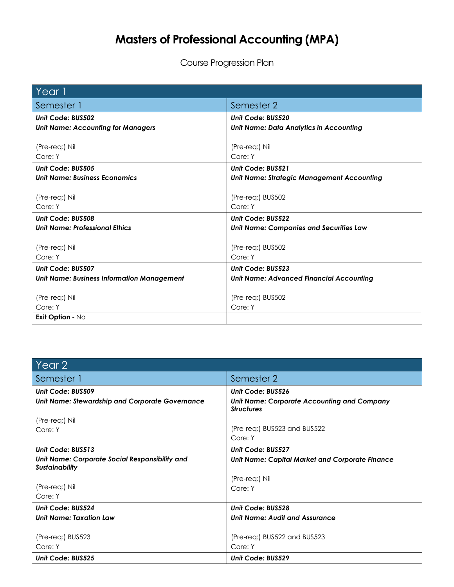## **Masters of Professional Accounting (MPA)**

Course Progression Plan

| Year 1                                            |                                                   |
|---------------------------------------------------|---------------------------------------------------|
| Semester 1                                        | Semester 2                                        |
| Unit Code: BUS502                                 | Unit Code: BUS520                                 |
| <b>Unit Name: Accounting for Managers</b>         | <b>Unit Name: Data Analytics in Accounting</b>    |
|                                                   |                                                   |
| (Pre-req:) Nil                                    | (Pre-req:) Nil                                    |
| Core: Y                                           | Core: Y                                           |
| Unit Code: BUS505                                 | Unit Code: BUS521                                 |
| <b>Unit Name: Business Economics</b>              | <b>Unit Name: Strategic Management Accounting</b> |
|                                                   |                                                   |
| (Pre-req:) Nil                                    | (Pre-req:) BUS502                                 |
| Core: Y                                           | Core: Y                                           |
| Unit Code: BUS508                                 | <b>Unit Code: BUS522</b>                          |
| <b>Unit Name: Professional Ethics</b>             | <b>Unit Name: Companies and Securities Law</b>    |
|                                                   |                                                   |
| (Pre-reg:) Nil                                    | (Pre-req:) BUS502                                 |
| Core: Y                                           | Core: Y                                           |
| Unit Code: BUS507                                 | Unit Code: BUS523                                 |
| <b>Unit Name: Business Information Management</b> | <b>Unit Name: Advanced Financial Accounting</b>   |
|                                                   |                                                   |
| (Pre-reg:) Nil                                    | (Pre-req:) BUS502                                 |
| Core: Y                                           | Core: Y                                           |
| Exit Option - No                                  |                                                   |

| Year 2                                                                  |                                                                         |
|-------------------------------------------------------------------------|-------------------------------------------------------------------------|
| Semester 1                                                              | Semester 2                                                              |
| Unit Code: BUS509                                                       | Unit Code: BUS526                                                       |
| <b>Unit Name: Stewardship and Corporate Governance</b>                  | <b>Unit Name: Corporate Accounting and Company</b><br><b>Structures</b> |
| (Pre-req:) Nil                                                          |                                                                         |
| Core: Y                                                                 | (Pre-req:) BUS523 and BUS522<br>Core: Y                                 |
| Unit Code: BUS513                                                       | <b>Unit Code: BUS527</b>                                                |
| Unit Name: Corporate Social Responsibility and<br><b>Sustainability</b> | Unit Name: Capital Market and Corporate Finance                         |
|                                                                         | (Pre-req:) Nil                                                          |
| (Pre-req:) Nil                                                          | Core: Y                                                                 |
| Core: Y                                                                 |                                                                         |
| Unit Code: BUS524                                                       | Unit Code: BUS528                                                       |
| <b>Unit Name: Taxation Law</b>                                          | <b>Unit Name: Audit and Assurance</b>                                   |
| (Pre-req:) BUS523                                                       | (Pre-req:) BUS522 and BUS523                                            |
| Core: Y                                                                 | Core: Y                                                                 |
| <b>Unit Code: BUS525</b>                                                | <b>Unit Code: BUS529</b>                                                |